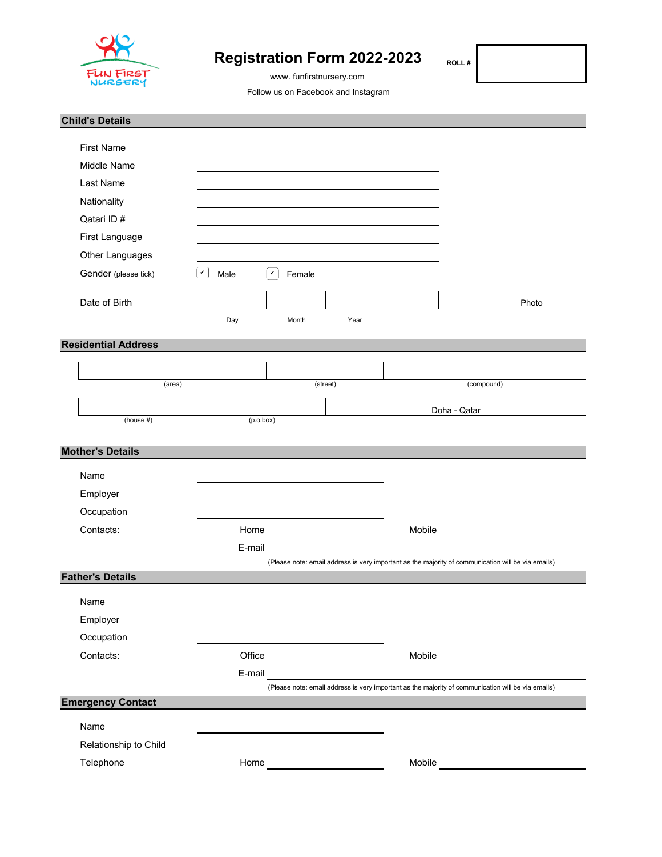

# **Registration Form 2022-2023**

www. funfirstnursery.com

 **ROLL #** 

Follow us on Facebook and Instagram

| <b>Child's Details</b>     |                                                                            |                                                                                                    |
|----------------------------|----------------------------------------------------------------------------|----------------------------------------------------------------------------------------------------|
| <b>First Name</b>          |                                                                            |                                                                                                    |
| Middle Name                |                                                                            |                                                                                                    |
| Last Name                  |                                                                            |                                                                                                    |
| Nationality                |                                                                            |                                                                                                    |
| Qatari ID#                 |                                                                            |                                                                                                    |
| First Language             |                                                                            |                                                                                                    |
| Other Languages            |                                                                            |                                                                                                    |
| Gender (please tick)       | $\checkmark$<br>$\checkmark$<br>Male<br>Female                             |                                                                                                    |
|                            |                                                                            |                                                                                                    |
| Date of Birth              |                                                                            | Photo                                                                                              |
|                            | Day<br>Month<br>Year                                                       |                                                                                                    |
| <b>Residential Address</b> |                                                                            |                                                                                                    |
|                            |                                                                            |                                                                                                    |
| (area)                     | (street)                                                                   | (compound)                                                                                         |
|                            |                                                                            |                                                                                                    |
| (house #)                  | (p.o.box)                                                                  | Doha - Qatar                                                                                       |
|                            |                                                                            |                                                                                                    |
| <b>Mother's Details</b>    |                                                                            |                                                                                                    |
| Name                       |                                                                            |                                                                                                    |
| Employer                   |                                                                            |                                                                                                    |
| Occupation                 |                                                                            |                                                                                                    |
| Contacts:                  |                                                                            | Mobile <b>Mobile Mobile Mobile Mobile Mobile</b>                                                   |
|                            | E-mail                                                                     |                                                                                                    |
|                            |                                                                            | (Please note: email address is very important as the majority of communication will be via emails) |
| <b>Father's Details</b>    |                                                                            |                                                                                                    |
| Name                       |                                                                            |                                                                                                    |
| Employer                   |                                                                            |                                                                                                    |
| Occupation                 | the control of the control of the control of the control of the control of |                                                                                                    |
| Contacts:                  |                                                                            | Mobile                                                                                             |
|                            | E-mail                                                                     |                                                                                                    |
|                            |                                                                            | (Please note: email address is very important as the majority of communication will be via emails) |
| <b>Emergency Contact</b>   |                                                                            |                                                                                                    |
| Name                       |                                                                            |                                                                                                    |
| Relationship to Child      |                                                                            |                                                                                                    |
| Telephone                  |                                                                            |                                                                                                    |
|                            |                                                                            |                                                                                                    |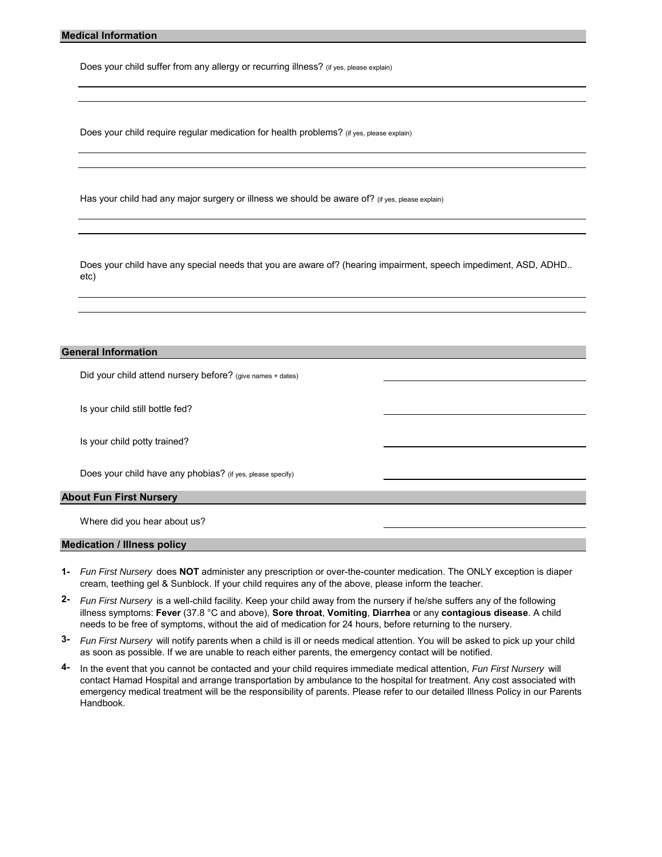Does your child suffer from any allergy or recurring illness? (if yes, please explain)

Does your child require regular medication for health problems? (if yes, please explain)

Has your child had any major surgery or illness we should be aware of? (if yes, please explain)

Does your child have any special needs that you are aware of? (hearing impairment, speech impediment, ASD, ADHD.. etc)

## **General Information**

Did your child attend nursery before? (give names + dates)

Is your child still bottle fed?

Is your child potty trained?

Does your child have any phobias? (if yes, please specify)

#### **About Fun First Nursery**

Where did you hear about us?

#### **Medication / Illness policy**

- **1-** *Fun First Nursery* does **NOT** administer any prescription or over-the-counter medication. The ONLY exception is diaper cream, teething gel & Sunblock. If your child requires any of the above, please inform the teacher.
- **2-** *Fun First Nursery* is a well-child facility. Keep your child away from the nursery if he/she suffers any of the following illness symptoms: **Fever** (37.8 °C and above), **Sore throat**, **Vomiting**, **Diarrhea** or any **contagious disease**. A child needs to be free of symptoms, without the aid of medication for 24 hours, before returning to the nursery.
- **3-** *Fun First Nursery* will notify parents when a child is ill or needs medical attention. You will be asked to pick up your child as soon as possible. If we are unable to reach either parents, the emergency contact will be notified.
- **4-** In the event that you cannot be contacted and your child requires immediate medical attention, *Fun First Nursery* will contact Hamad Hospital and arrange transportation by ambulance to the hospital for treatment. Any cost associated with emergency medical treatment will be the responsibility of parents. Please refer to our detailed Illness Policy in our Parents Handbook.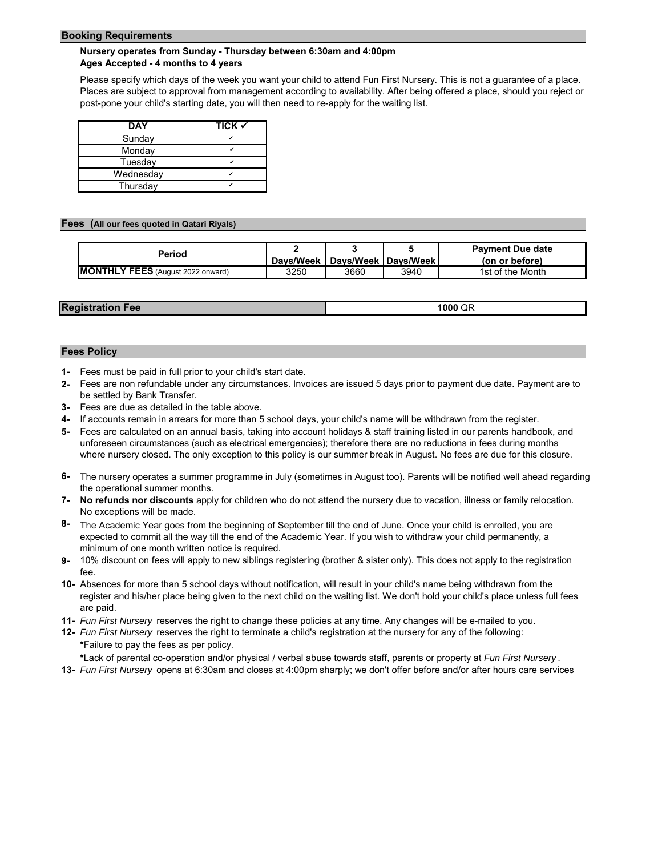#### **Booking Requirements**

### **Nursery operates from Sunday - Thursday between 6:30am and 4:00pm Ages Accepted - 4 months to 4 years**

Please specify which days of the week you want your child to attend Fun First Nursery. This is not a guarantee of a place. Places are subject to approval from management according to availability. After being offered a place, should you reject or post-pone your child's starting date, you will then need to re-apply for the waiting list.

| <b>DAY</b> | TICK $\checkmark$ |
|------------|-------------------|
| Sunday     |                   |
| Monday     |                   |
| Tuesday    |                   |
| Wednesday  |                   |
| Thursday   |                   |

#### **Fees (All our fees quoted in Qatari Riyals)**

| Period                                   |      |                                   |      | <b>Payment Due date</b> |
|------------------------------------------|------|-----------------------------------|------|-------------------------|
|                                          |      | Davs/Week   Davs/Week   Davs/Week |      | (on or before)          |
| <b>MONTHLY FEES</b> (August 2022 onward) | 3250 | 3660                              | 3940 | 1st of the Month        |

| <b>Regis</b><br>Fee | 1000 QR |
|---------------------|---------|
|                     |         |

#### **Fees Policy**

- **1-** Fees must be paid in full prior to your child's start date.
- **2-** Fees are non refundable under any circumstances. Invoices are issued 5 days prior to payment due date. Payment are to be settled by Bank Transfer.
- **3-** Fees are due as detailed in the table above.
- **4-** If accounts remain in arrears for more than 5 school days, your child's name will be withdrawn from the register.
- **5-** Fees are calculated on an annual basis, taking into account holidays & staff training listed in our parents handbook, and unforeseen circumstances (such as electrical emergencies); therefore there are no reductions in fees during months where nursery closed. The only exception to this policy is our summer break in August. No fees are due for this closure.
- **6-**  The nursery operates a summer programme in July (sometimes in August too). Parents will be notified well ahead regarding the operational summer months.
- **7- No refunds nor discounts** apply for children who do not attend the nursery due to vacation, illness or family relocation. No exceptions will be made.
- **8-** The Academic Year goes from the beginning of September till the end of June. Once your child is enrolled, you are expected to commit all the way till the end of the Academic Year. If you wish to withdraw your child permanently, a minimum of one month written notice is required.
- **9-** 10% discount on fees will apply to new siblings registering (brother & sister only). This does not apply to the registration fee.
- **10-** Absences for more than 5 school days without notification, will result in your child's name being withdrawn from the register and his/her place being given to the next child on the waiting list. We don't hold your child's place unless full fees are paid.
- **11-** *Fun First Nursery* reserves the right to change these policies at any time. Any changes will be e-mailed to you.
- **12-** *Fun First Nursery* reserves the right to terminate a child's registration at the nursery for any of the following: **\***Failure to pay the fees as per policy.

**\***Lack of parental co-operation and/or physical / verbal abuse towards staff, parents or property at *Fun First Nursery* .

**13-** *Fun First Nursery* opens at 6:30am and closes at 4:00pm sharply; we don't offer before and/or after hours care services